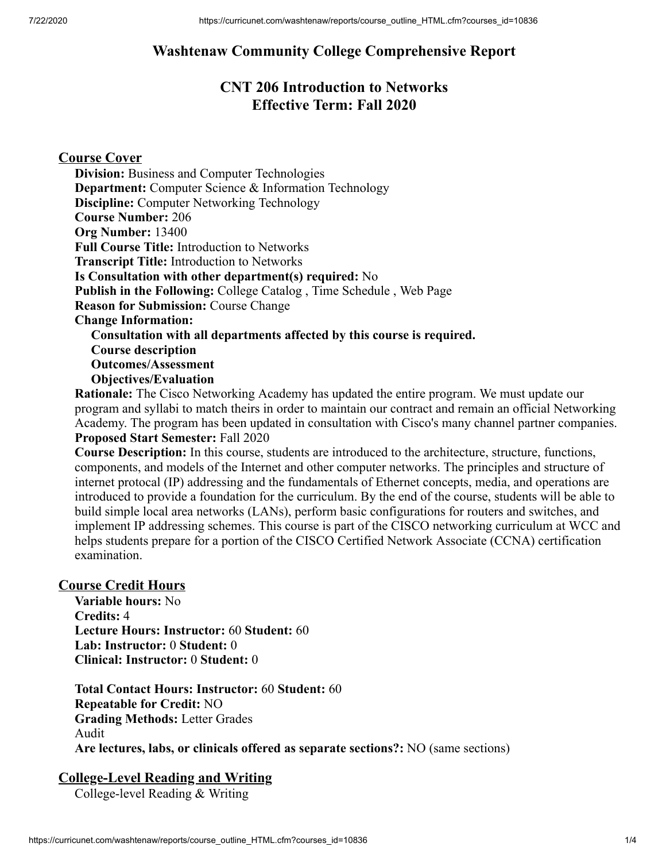# **Washtenaw Community College Comprehensive Report**

# **CNT 206 Introduction to Networks Effective Term: Fall 2020**

## **Course Cover**

**Division:** Business and Computer Technologies **Department:** Computer Science & Information Technology **Discipline:** Computer Networking Technology **Course Number:** 206 **Org Number:** 13400 **Full Course Title:** Introduction to Networks **Transcript Title:** Introduction to Networks **Is Consultation with other department(s) required:** No **Publish in the Following:** College Catalog , Time Schedule , Web Page **Reason for Submission:** Course Change **Change Information: Consultation with all departments affected by this course is required. Course description Outcomes/Assessment Objectives/Evaluation**

**Rationale:** The Cisco Networking Academy has updated the entire program. We must update our program and syllabi to match theirs in order to maintain our contract and remain an official Networking Academy. The program has been updated in consultation with Cisco's many channel partner companies. **Proposed Start Semester:** Fall 2020

**Course Description:** In this course, students are introduced to the architecture, structure, functions, components, and models of the Internet and other computer networks. The principles and structure of internet protocal (IP) addressing and the fundamentals of Ethernet concepts, media, and operations are introduced to provide a foundation for the curriculum. By the end of the course, students will be able to build simple local area networks (LANs), perform basic configurations for routers and switches, and implement IP addressing schemes. This course is part of the CISCO networking curriculum at WCC and helps students prepare for a portion of the CISCO Certified Network Associate (CCNA) certification examination.

## **Course Credit Hours**

**Variable hours:** No **Credits:** 4 **Lecture Hours: Instructor:** 60 **Student:** 60 **Lab: Instructor:** 0 **Student:** 0 **Clinical: Instructor:** 0 **Student:** 0

**Total Contact Hours: Instructor:** 60 **Student:** 60 **Repeatable for Credit:** NO **Grading Methods:** Letter Grades Audit **Are lectures, labs, or clinicals offered as separate sections?:** NO (same sections)

## **College-Level Reading and Writing**

College-level Reading & Writing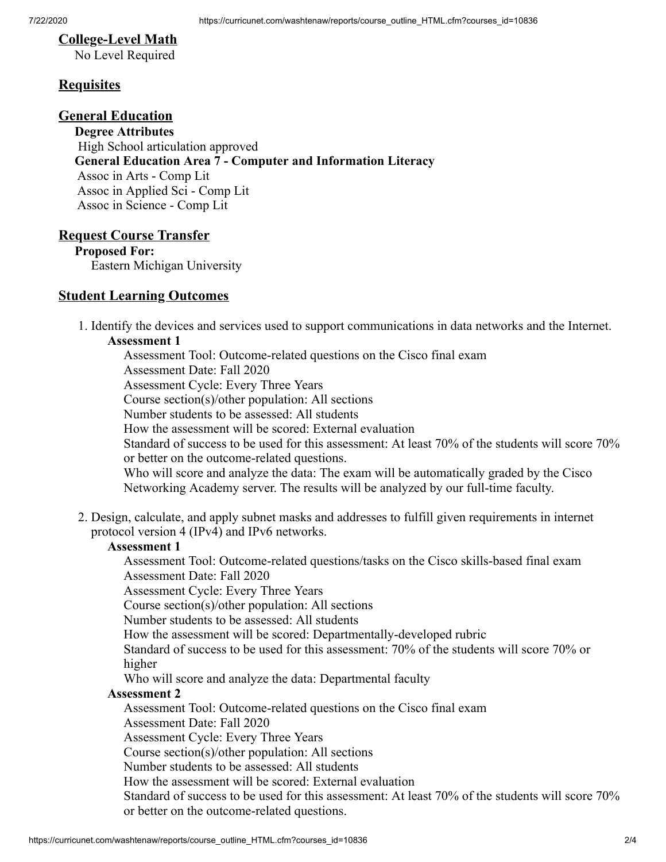## **College-Level Math**

No Level Required

## **Requisites**

## **General Education**

**Degree Attributes** High School articulation approved **General Education Area 7 - Computer and Information Literacy** Assoc in Arts - Comp Lit Assoc in Applied Sci - Comp Lit Assoc in Science - Comp Lit

#### **Request Course Transfer**

**Proposed For:** Eastern Michigan University

#### **Student Learning Outcomes**

1. Identify the devices and services used to support communications in data networks and the Internet. **Assessment 1**

Assessment Tool: Outcome-related questions on the Cisco final exam Assessment Date: Fall 2020 Assessment Cycle: Every Three Years Course section(s)/other population: All sections Number students to be assessed: All students How the assessment will be scored: External evaluation Standard of success to be used for this assessment: At least 70% of the students will score 70% or better on the outcome-related questions. Who will score and analyze the data: The exam will be automatically graded by the Cisco Networking Academy server. The results will be analyzed by our full-time faculty.

2. Design, calculate, and apply subnet masks and addresses to fulfill given requirements in internet protocol version 4 (IPv4) and IPv6 networks.

#### **Assessment 1**

Assessment Tool: Outcome-related questions/tasks on the Cisco skills-based final exam Assessment Date: Fall 2020

Assessment Cycle: Every Three Years

Course section(s)/other population: All sections

Number students to be assessed: All students

How the assessment will be scored: Departmentally-developed rubric

Standard of success to be used for this assessment: 70% of the students will score 70% or higher

Who will score and analyze the data: Departmental faculty

#### **Assessment 2**

Assessment Tool: Outcome-related questions on the Cisco final exam Assessment Date: Fall 2020

Assessment Cycle: Every Three Years

Course section(s)/other population: All sections

Number students to be assessed: All students

How the assessment will be scored: External evaluation

Standard of success to be used for this assessment: At least 70% of the students will score 70% or better on the outcome-related questions.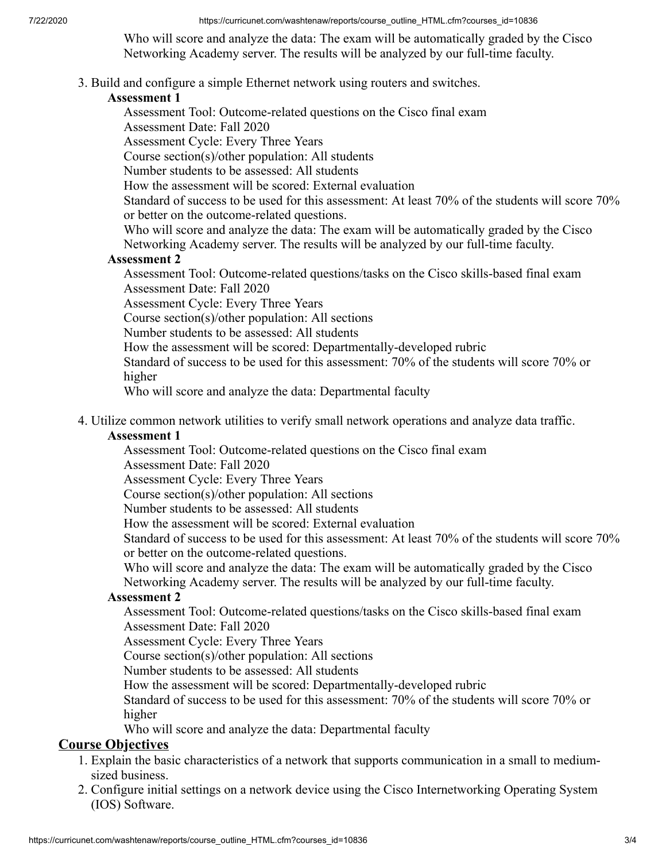7/22/2020 https://curricunet.com/washtenaw/reports/course\_outline\_HTML.cfm?courses\_id=10836

Who will score and analyze the data: The exam will be automatically graded by the Cisco Networking Academy server. The results will be analyzed by our full-time faculty.

3. Build and configure a simple Ethernet network using routers and switches.

## **Assessment 1**

Assessment Tool: Outcome-related questions on the Cisco final exam

Assessment Date: Fall 2020

Assessment Cycle: Every Three Years

Course section(s)/other population: All students

Number students to be assessed: All students

How the assessment will be scored: External evaluation

Standard of success to be used for this assessment: At least 70% of the students will score 70% or better on the outcome-related questions.

Who will score and analyze the data: The exam will be automatically graded by the Cisco Networking Academy server. The results will be analyzed by our full-time faculty.

## **Assessment 2**

Assessment Tool: Outcome-related questions/tasks on the Cisco skills-based final exam Assessment Date: Fall 2020

Assessment Cycle: Every Three Years

Course section(s)/other population: All sections

Number students to be assessed: All students

How the assessment will be scored: Departmentally-developed rubric

Standard of success to be used for this assessment: 70% of the students will score 70% or higher

Who will score and analyze the data: Departmental faculty

4. Utilize common network utilities to verify small network operations and analyze data traffic.

### **Assessment 1**

Assessment Tool: Outcome-related questions on the Cisco final exam

Assessment Date: Fall 2020

Assessment Cycle: Every Three Years

Course section(s)/other population: All sections

Number students to be assessed: All students

How the assessment will be scored: External evaluation

Standard of success to be used for this assessment: At least 70% of the students will score 70% or better on the outcome-related questions.

Who will score and analyze the data: The exam will be automatically graded by the Cisco Networking Academy server. The results will be analyzed by our full-time faculty.

### **Assessment 2**

Assessment Tool: Outcome-related questions/tasks on the Cisco skills-based final exam Assessment Date: Fall 2020

Assessment Cycle: Every Three Years

Course section(s)/other population: All sections

Number students to be assessed: All students

How the assessment will be scored: Departmentally-developed rubric

Standard of success to be used for this assessment: 70% of the students will score 70% or higher

Who will score and analyze the data: Departmental faculty

## **Course Objectives**

- 1. Explain the basic characteristics of a network that supports communication in a small to mediumsized business.
- 2. Configure initial settings on a network device using the Cisco Internetworking Operating System (IOS) Software.